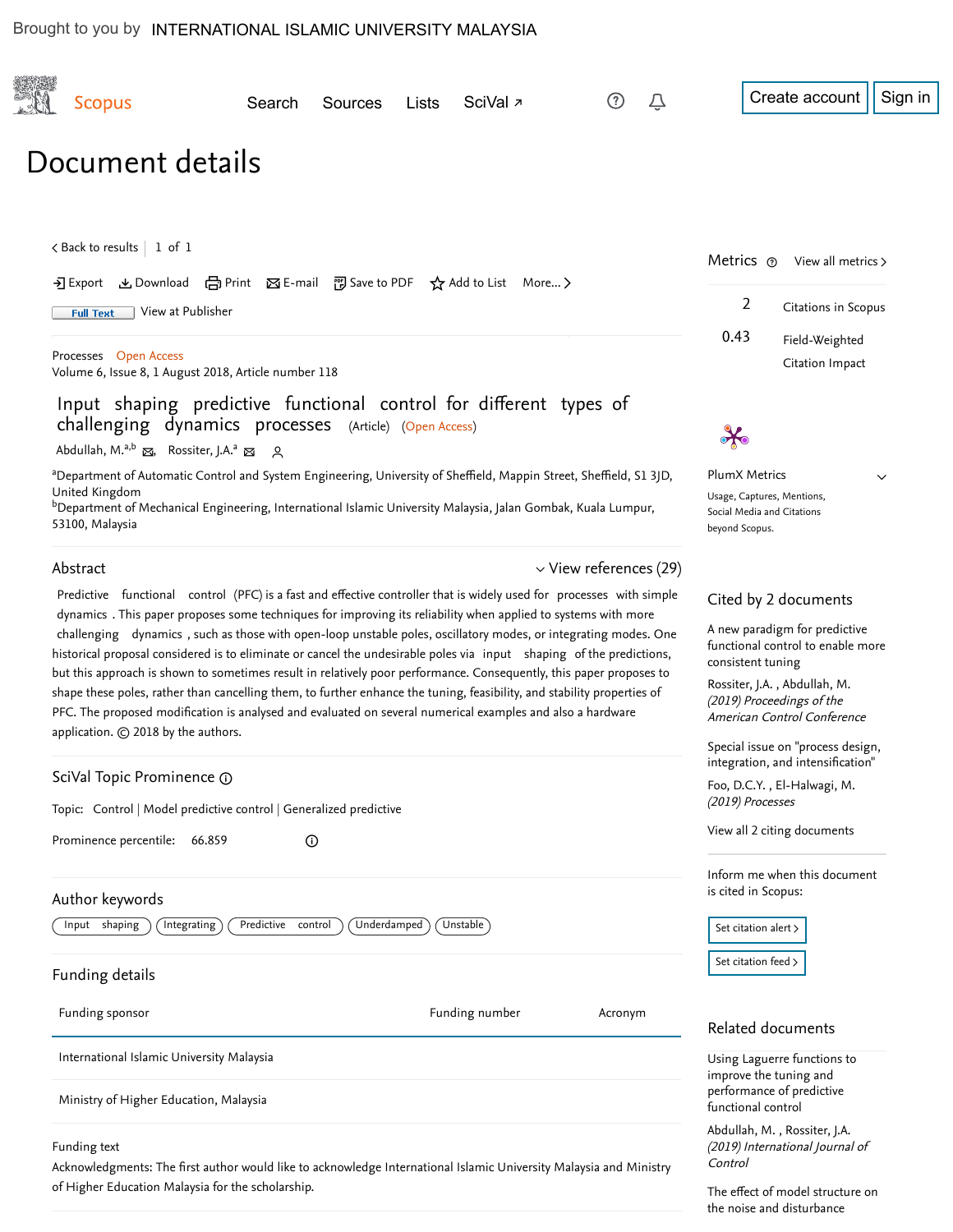of Higher Education Malaysia for the scholarship.

| <b>Scopus</b>                                                                                                                                                                                                                                                                                                                                                                                                                                                                                                                                                                                                                                                                                                                                                                                                                                                                           | Search<br>Sources | Lists | SciVal <sub>7</sub> |                             | Sign in<br>Create account                                                                                                                                                                                   |
|-----------------------------------------------------------------------------------------------------------------------------------------------------------------------------------------------------------------------------------------------------------------------------------------------------------------------------------------------------------------------------------------------------------------------------------------------------------------------------------------------------------------------------------------------------------------------------------------------------------------------------------------------------------------------------------------------------------------------------------------------------------------------------------------------------------------------------------------------------------------------------------------|-------------------|-------|---------------------|-----------------------------|-------------------------------------------------------------------------------------------------------------------------------------------------------------------------------------------------------------|
| Document details                                                                                                                                                                                                                                                                                                                                                                                                                                                                                                                                                                                                                                                                                                                                                                                                                                                                        |                   |       |                     |                             |                                                                                                                                                                                                             |
| $\lt$ Back to results   1 of 1<br>→ Export & Download 금 Print ⊠ E-mail 可 Save to PDF ☆ Add to List More ><br>View at Publisher<br><b>Full Text</b>                                                                                                                                                                                                                                                                                                                                                                                                                                                                                                                                                                                                                                                                                                                                      |                   |       |                     |                             | Metrics $\circ$<br>View all metrics ><br>$\overline{2}$<br>Citations in Scopus                                                                                                                              |
| Processes Open Access<br>Volume 6, Issue 8, 1 August 2018, Article number 118                                                                                                                                                                                                                                                                                                                                                                                                                                                                                                                                                                                                                                                                                                                                                                                                           |                   |       |                     |                             | 0.43<br>Field-Weighted<br>Citation Impact                                                                                                                                                                   |
| Input shaping predictive functional control for different types of<br>challenging dynamics processes (Article) (Open Access)<br>Abdullah, M. <sup>a,b</sup> & Rossiter, J.A. <sup>a</sup> & Q                                                                                                                                                                                                                                                                                                                                                                                                                                                                                                                                                                                                                                                                                           |                   |       |                     |                             |                                                                                                                                                                                                             |
| <sup>a</sup> Department of Automatic Control and System Engineering, University of Sheffield, Mappin Street, Sheffield, S1 3JD,<br>United Kingdom<br><sup>b</sup> Department of Mechanical Engineering, International Islamic University Malaysia, Jalan Gombak, Kuala Lumpur,<br>53100, Malaysia                                                                                                                                                                                                                                                                                                                                                                                                                                                                                                                                                                                       |                   |       |                     |                             | PlumX Metrics<br>$\checkmark$<br>Usage, Captures, Mentions,<br>Social Media and Citations<br>beyond Scopus.                                                                                                 |
| Abstract                                                                                                                                                                                                                                                                                                                                                                                                                                                                                                                                                                                                                                                                                                                                                                                                                                                                                |                   |       |                     | $\vee$ View references (29) |                                                                                                                                                                                                             |
| Predictive functional control (PFC) is a fast and effective controller that is widely used for processes with simple<br>dynamics. This paper proposes some techniques for improving its reliability when applied to systems with more<br>challenging dynamics, such as those with open-loop unstable poles, oscillatory modes, or integrating modes. One<br>historical proposal considered is to eliminate or cancel the undesirable poles via input shaping of the predictions,<br>but this approach is shown to sometimes result in relatively poor performance. Consequently, this paper proposes to<br>shape these poles, rather than cancelling them, to further enhance the tuning, feasibility, and stability properties of<br>PFC. The proposed modification is analysed and evaluated on several numerical examples and also a hardware<br>application. C 2018 by the authors. |                   |       |                     |                             | Cited by 2 documents<br>A new paradigm for predictive<br>functional control to enable more<br>consistent tuning<br>Rossiter, J.A., Abdullah, M.<br>(2019) Proceedings of the<br>American Control Conference |
|                                                                                                                                                                                                                                                                                                                                                                                                                                                                                                                                                                                                                                                                                                                                                                                                                                                                                         |                   |       |                     |                             | Special issue on "process design,<br>integration, and intensification"                                                                                                                                      |
| SciVal Topic Prominence @<br>Topic: Control   Model predictive control   Generalized predictive                                                                                                                                                                                                                                                                                                                                                                                                                                                                                                                                                                                                                                                                                                                                                                                         |                   |       |                     |                             | Foo, D.C.Y., El-Halwagi, M.<br>(2019) Processes                                                                                                                                                             |
| Prominence percentile:<br>66.859<br>$^\copyright$                                                                                                                                                                                                                                                                                                                                                                                                                                                                                                                                                                                                                                                                                                                                                                                                                                       |                   |       |                     |                             | View all 2 citing documents                                                                                                                                                                                 |
| Author keywords                                                                                                                                                                                                                                                                                                                                                                                                                                                                                                                                                                                                                                                                                                                                                                                                                                                                         |                   |       |                     |                             | Inform me when this document<br>is cited in Scopus:                                                                                                                                                         |
| Underdamped<br>Unstable<br>Input shaping<br>Integrating<br>Predictive control                                                                                                                                                                                                                                                                                                                                                                                                                                                                                                                                                                                                                                                                                                                                                                                                           |                   |       |                     |                             | Set citation alert >                                                                                                                                                                                        |
| Funding details                                                                                                                                                                                                                                                                                                                                                                                                                                                                                                                                                                                                                                                                                                                                                                                                                                                                         |                   |       |                     |                             | Set citation feed >                                                                                                                                                                                         |
| Funding sponsor                                                                                                                                                                                                                                                                                                                                                                                                                                                                                                                                                                                                                                                                                                                                                                                                                                                                         |                   |       | Funding number      | Acronym                     | Related documents                                                                                                                                                                                           |
| International Islamic University Malaysia<br>Ministry of Higher Education, Malaysia                                                                                                                                                                                                                                                                                                                                                                                                                                                                                                                                                                                                                                                                                                                                                                                                     |                   |       |                     |                             | Using Laguerre functions to<br>improve the tuning and<br>performance of predictive                                                                                                                          |
| Funding text<br>Acknowledgments: The first author would like to acknowledge International Islamic University Malaysia and Ministry                                                                                                                                                                                                                                                                                                                                                                                                                                                                                                                                                                                                                                                                                                                                                      |                   |       |                     |                             | functional control<br>Abdullah, M., Rossiter, J.A.<br>(2019) International Journal of<br>Control                                                                                                            |

[The effect of model structure on](https://www.scopus.com/record/display.uri?origin=recordpage&zone=relatedDocuments&eid=2-s2.0-85056864306&citeCnt=2&noHighlight=false&sort=plf-f&src=s&st1=Input+Shaping+Predictive+Functional+Control+for+Different+Types+of+Challenging+Dynamics+Processes&st2=&sid=d487855e08e0e1078db48ff67c8a988b&sot=b&sdt=b&sl=112&s=TITLE-ABS-KEY%28Input+Shaping+Predictive+Functional+Control+for+Different+Types+of+Challenging+Dynamics+Processes%29&relpos=1) the noise and disturbance